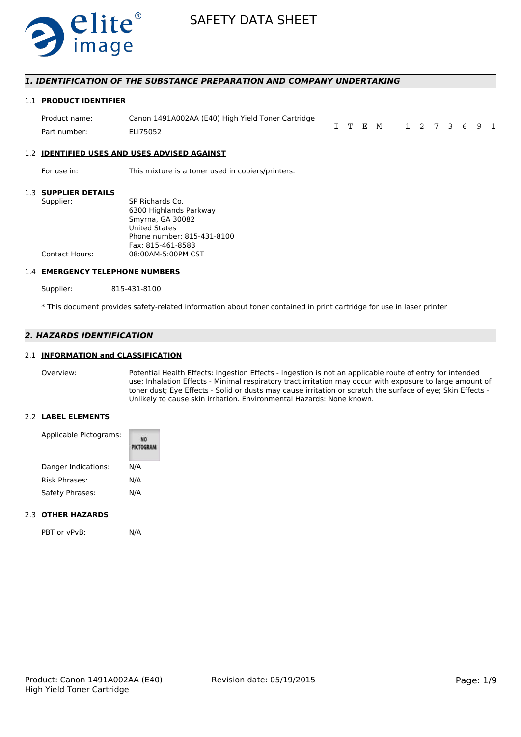

# *1. IDENTIFICATION OF THE SUBSTANCE PREPARATION AND COMPANY UNDERTAKING*

## 1.1 **PRODUCT IDENTIFIER**

| Product name: | Canon 1491A002AA (E40) High Yield Toner Cartridge |  |                       |  |  |  |  |
|---------------|---------------------------------------------------|--|-----------------------|--|--|--|--|
| Part number:  | ELI75052                                          |  | I T E M 1 2 7 3 6 9 1 |  |  |  |  |

#### 1.2 **IDENTIFIED USES AND USES ADVISED AGAINST**

For use in: This mixture is a toner used in copiers/printers.

# 1.3 **SUPPLIER DETAILS**

| Supplier:      | SP Richards Co.            |
|----------------|----------------------------|
|                | 6300 Highlands Parkway     |
|                | Smyrna, GA 30082           |
|                | <b>United States</b>       |
|                | Phone number: 815-431-8100 |
|                | Fax: 815-461-8583          |
| Contact Hours: | 08:00AM-5:00PM CST         |
|                |                            |

#### 1.4 **EMERGENCY TELEPHONE NUMBERS**

Supplier: 815-431-8100

\* This document provides safety-related information about toner contained in print cartridge for use in laser printer

# *2. HAZARDS IDENTIFICATION*

## 2.1 **INFORMATION and CLASSIFICATION**

Overview: Potential Health Effects: Ingestion Effects - Ingestion is not an applicable route of entry for intended use; Inhalation Effects - Minimal respiratory tract irritation may occur with exposure to large amount of toner dust; Eye Effects - Solid or dusts may cause irritation or scratch the surface of eye; Skin Effects - Unlikely to cause skin irritation. Environmental Hazards: None known.

## 2.2 **LABEL ELEMENTS**

| Applicable Pictograms: | PICTOGRAM |
|------------------------|-----------|
| Danger Indications:    | N/A       |
| Risk Phrases:          | N/A       |
| Safety Phrases:        | N/A       |

## 2.3 **OTHER HAZARDS**

PBT or vPvB: N/A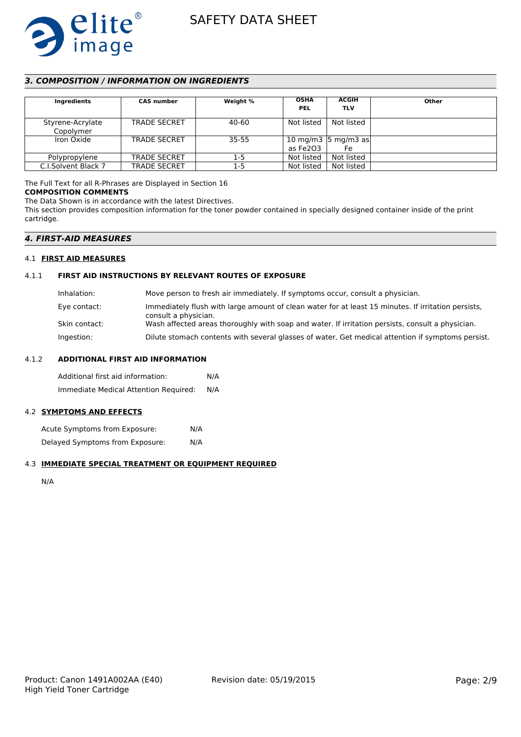

# *3. COMPOSITION / INFORMATION ON INGREDIENTS*

| Ingredients                   | <b>CAS number</b>   | Weight %  | <b>OSHA</b><br><b>PEL</b> | <b>ACGIH</b><br><b>TLV</b>   | Other |
|-------------------------------|---------------------|-----------|---------------------------|------------------------------|-------|
| Styrene-Acrylate<br>Copolymer | <b>TRADE SECRET</b> | 40-60     | Not listed                | Not listed                   |       |
| Iron Oxide                    | <b>TRADE SECRET</b> | $35 - 55$ | as Fe2O3                  | 10 mg/m3 $ 5$ mg/m3 as<br>Fe |       |
| Polypropylene                 | <b>TRADE SECRET</b> | 1-5       | Not listed                | Not listed                   |       |
| C.I.Solvent Black 7           | <b>TRADE SECRET</b> | 1-5       | Not listed                | Not listed                   |       |

The Full Text for all R-Phrases are Displayed in Section 16

#### **COMPOSITION COMMENTS**

The Data Shown is in accordance with the latest Directives.

This section provides composition information for the toner powder contained in specially designed container inside of the print cartridge.

## *4. FIRST-AID MEASURES*

#### 4.1 **FIRST AID MEASURES**

## 4.1.1 **FIRST AID INSTRUCTIONS BY RELEVANT ROUTES OF EXPOSURE**

| Inhalation:   | Move person to fresh air immediately. If symptoms occur, consult a physician.                                               |
|---------------|-----------------------------------------------------------------------------------------------------------------------------|
| Eye contact:  | Immediately flush with large amount of clean water for at least 15 minutes. If irritation persists,<br>consult a physician. |
| Skin contact: | Wash affected areas thoroughly with soap and water. If irritation persists, consult a physician.                            |
| Ingestion:    | Dilute stomach contents with several glasses of water. Get medical attention if symptoms persist.                           |

#### 4.1.2 **ADDITIONAL FIRST AID INFORMATION**

Additional first aid information: N/A Immediate Medical Attention Required: N/A

# 4.2 **SYMPTOMS AND EFFECTS**

Acute Symptoms from Exposure: N/A Delayed Symptoms from Exposure: N/A

## 4.3 **IMMEDIATE SPECIAL TREATMENT OR EQUIPMENT REQUIRED**

N/A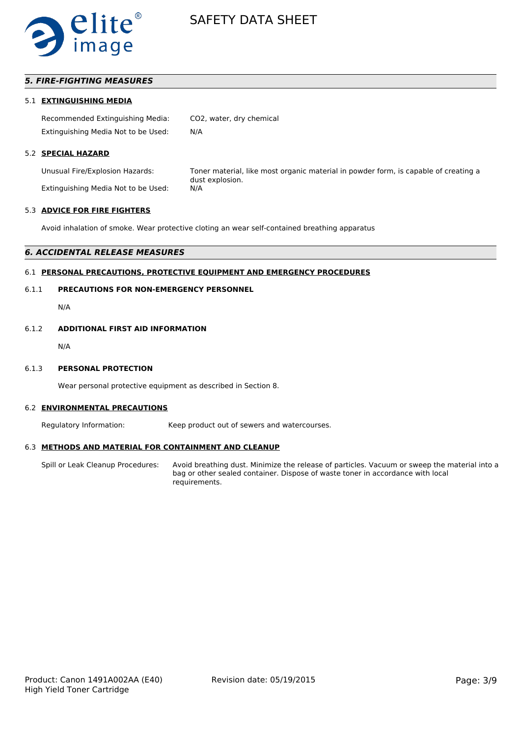

# *5. FIRE-FIGHTING MEASURES*

## 5.1 **EXTINGUISHING MEDIA**

Recommended Extinguishing Media: CO2, water, dry chemical Extinguishing Media Not to be Used: N/A

# 5.2 **SPECIAL HAZARD**

Extinguishing Media Not to be Used: N/A

Unusual Fire/Explosion Hazards: Toner material, like most organic material in powder form, is capable of creating a dust explosion.

# 5.3 **ADVICE FOR FIRE FIGHTERS**

Avoid inhalation of smoke. Wear protective cloting an wear self-contained breathing apparatus

#### *6. ACCIDENTAL RELEASE MEASURES*

#### 6.1 **PERSONAL PRECAUTIONS, PROTECTIVE EQUIPMENT AND EMERGENCY PROCEDURES**

## 6.1.1 **PRECAUTIONS FOR NON-EMERGENCY PERSONNEL**

N/A

#### 6.1.2 **ADDITIONAL FIRST AID INFORMATION**

N/A

#### 6.1.3 **PERSONAL PROTECTION**

Wear personal protective equipment as described in Section 8.

#### 6.2 **ENVIRONMENTAL PRECAUTIONS**

Regulatory Information: Keep product out of sewers and watercourses.

#### 6.3 **METHODS AND MATERIAL FOR CONTAINMENT AND CLEANUP**

Spill or Leak Cleanup Procedures: Avoid breathing dust. Minimize the release of particles. Vacuum or sweep the material into a bag or other sealed container. Dispose of waste toner in accordance with local requirements.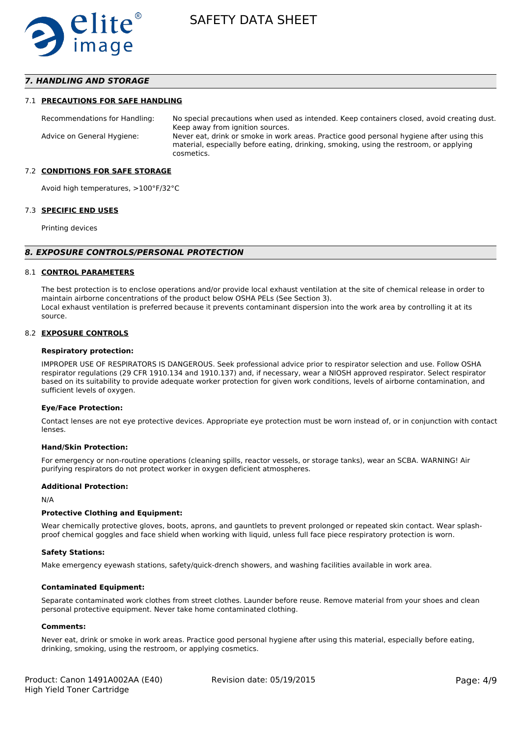

# *7. HANDLING AND STORAGE*

### 7.1 **PRECAUTIONS FOR SAFE HANDLING**

Recommendations for Handling: No special precautions when used as intended. Keep containers closed, avoid creating dust. Keep away from ignition sources. Advice on General Hygiene: Never eat, drink or smoke in work areas. Practice good personal hygiene after using this material, especially before eating, drinking, smoking, using the restroom, or applying cosmetics.

## 7.2 **CONDITIONS FOR SAFE STORAGE**

Avoid high temperatures, >100°F/32°C

#### 7.3 **SPECIFIC END USES**

Printing devices

#### *8. EXPOSURE CONTROLS/PERSONAL PROTECTION*

#### 8.1 **CONTROL PARAMETERS**

The best protection is to enclose operations and/or provide local exhaust ventilation at the site of chemical release in order to maintain airborne concentrations of the product below OSHA PELs (See Section 3). Local exhaust ventilation is preferred because it prevents contaminant dispersion into the work area by controlling it at its source.

#### 8.2 **EXPOSURE CONTROLS**

#### **Respiratory protection:**

IMPROPER USE OF RESPIRATORS IS DANGEROUS. Seek professional advice prior to respirator selection and use. Follow OSHA respirator regulations (29 CFR 1910.134 and 1910.137) and, if necessary, wear a NIOSH approved respirator. Select respirator based on its suitability to provide adequate worker protection for given work conditions, levels of airborne contamination, and sufficient levels of oxygen.

#### **Eye/Face Protection:**

Contact lenses are not eye protective devices. Appropriate eye protection must be worn instead of, or in conjunction with contact lenses.

#### **Hand/Skin Protection:**

For emergency or non-routine operations (cleaning spills, reactor vessels, or storage tanks), wear an SCBA. WARNING! Air purifying respirators do not protect worker in oxygen deficient atmospheres.

## **Additional Protection:**

N/A

## **Protective Clothing and Equipment:**

Wear chemically protective gloves, boots, aprons, and gauntlets to prevent prolonged or repeated skin contact. Wear splashproof chemical goggles and face shield when working with liquid, unless full face piece respiratory protection is worn.

#### **Safety Stations:**

Make emergency eyewash stations, safety/quick-drench showers, and washing facilities available in work area.

#### **Contaminated Equipment:**

Separate contaminated work clothes from street clothes. Launder before reuse. Remove material from your shoes and clean personal protective equipment. Never take home contaminated clothing.

## **Comments:**

Never eat, drink or smoke in work areas. Practice good personal hygiene after using this material, especially before eating, drinking, smoking, using the restroom, or applying cosmetics.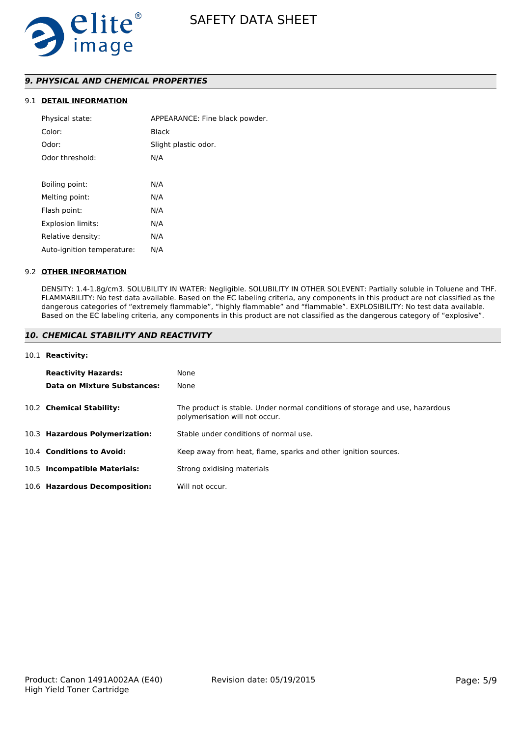

# *9. PHYSICAL AND CHEMICAL PROPERTIES*

# 9.1 **DETAIL INFORMATION**

| Physical state:            | APPEARANCE: Fine black powder. |
|----------------------------|--------------------------------|
| Color:                     | Black                          |
| Odor:                      | Slight plastic odor.           |
| Odor threshold:            | N/A                            |
|                            |                                |
| Boiling point:             | N/A                            |
| Melting point:             | N/A                            |
| Flash point:               | N/A                            |
| <b>Explosion limits:</b>   | N/A                            |
| Relative density:          | N/A                            |
| Auto-ignition temperature: | N/A                            |
|                            |                                |

## 9.2 **OTHER INFORMATION**

DENSITY: 1.4-1.8g/cm3. SOLUBILITY IN WATER: Negligible. SOLUBILITY IN OTHER SOLEVENT: Partially soluble in Toluene and THF. FLAMMABILITY: No test data available. Based on the EC labeling criteria, any components in this product are not classified as the dangerous categories of "extremely flammable", "highly flammable" and "flammable". EXPLOSIBILITY: No test data available. Based on the EC labeling criteria, any components in this product are not classified as the dangerous category of "explosive".

# *10. CHEMICAL STABILITY AND REACTIVITY*

# 10.1 **Reactivity:**

| <b>Reactivity Hazards:</b><br>Data on Mixture Substances: | None<br>None                                                                                                   |
|-----------------------------------------------------------|----------------------------------------------------------------------------------------------------------------|
| 10.2 Chemical Stability:                                  | The product is stable. Under normal conditions of storage and use, hazardous<br>polymerisation will not occur. |
| 10.3 Hazardous Polymerization:                            | Stable under conditions of normal use.                                                                         |
| 10.4 Conditions to Avoid:                                 | Keep away from heat, flame, sparks and other ignition sources.                                                 |
| 10.5 Incompatible Materials:                              | Strong oxidising materials                                                                                     |
| 10.6 Hazardous Decomposition:                             | Will not occur.                                                                                                |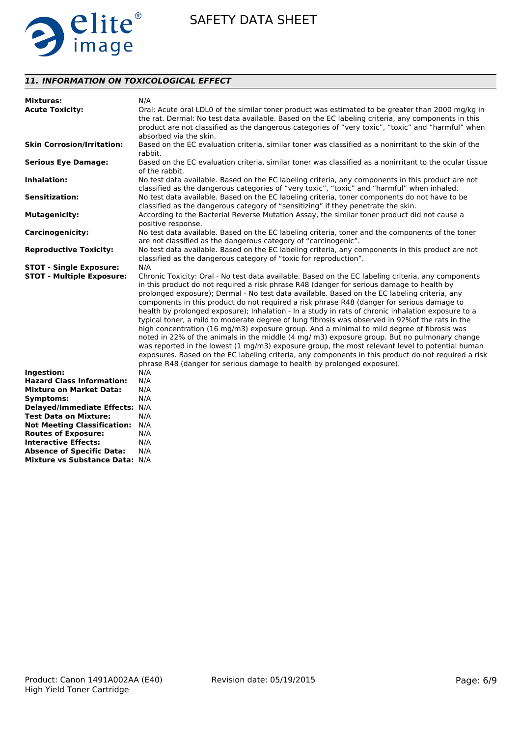

# *11. INFORMATION ON TOXICOLOGICAL EFFECT*

| <b>Mixtures:</b>                   | N/A                                                                                                                                                                                                                                                                                                                                                                                                                                                                                                                                                                                                                                                                                                                                                                                                                                                                                                                                                                                                                                                                                        |
|------------------------------------|--------------------------------------------------------------------------------------------------------------------------------------------------------------------------------------------------------------------------------------------------------------------------------------------------------------------------------------------------------------------------------------------------------------------------------------------------------------------------------------------------------------------------------------------------------------------------------------------------------------------------------------------------------------------------------------------------------------------------------------------------------------------------------------------------------------------------------------------------------------------------------------------------------------------------------------------------------------------------------------------------------------------------------------------------------------------------------------------|
| <b>Acute Toxicity:</b>             | Oral: Acute oral LDL0 of the similar toner product was estimated to be greater than 2000 mg/kg in<br>the rat. Dermal: No test data available. Based on the EC labeling criteria, any components in this                                                                                                                                                                                                                                                                                                                                                                                                                                                                                                                                                                                                                                                                                                                                                                                                                                                                                    |
|                                    | product are not classified as the dangerous categories of "very toxic", "toxic" and "harmful" when<br>absorbed via the skin.                                                                                                                                                                                                                                                                                                                                                                                                                                                                                                                                                                                                                                                                                                                                                                                                                                                                                                                                                               |
| <b>Skin Corrosion/Irritation:</b>  | Based on the EC evaluation criteria, similar toner was classified as a nonirritant to the skin of the<br>rabbit.                                                                                                                                                                                                                                                                                                                                                                                                                                                                                                                                                                                                                                                                                                                                                                                                                                                                                                                                                                           |
| <b>Serious Eye Damage:</b>         | Based on the EC evaluation criteria, similar toner was classified as a nonirritant to the ocular tissue<br>of the rabbit.                                                                                                                                                                                                                                                                                                                                                                                                                                                                                                                                                                                                                                                                                                                                                                                                                                                                                                                                                                  |
| <b>Inhalation:</b>                 | No test data available. Based on the EC labeling criteria, any components in this product are not<br>classified as the dangerous categories of "very toxic", "toxic" and "harmful" when inhaled.                                                                                                                                                                                                                                                                                                                                                                                                                                                                                                                                                                                                                                                                                                                                                                                                                                                                                           |
| <b>Sensitization:</b>              | No test data available. Based on the EC labeling criteria, toner components do not have to be<br>classified as the dangerous category of "sensitizing" if they penetrate the skin.                                                                                                                                                                                                                                                                                                                                                                                                                                                                                                                                                                                                                                                                                                                                                                                                                                                                                                         |
| <b>Mutagenicity:</b>               | According to the Bacterial Reverse Mutation Assay, the similar toner product did not cause a<br>positive response.                                                                                                                                                                                                                                                                                                                                                                                                                                                                                                                                                                                                                                                                                                                                                                                                                                                                                                                                                                         |
| <b>Carcinogenicity:</b>            | No test data available. Based on the EC labeling criteria, toner and the components of the toner<br>are not classified as the dangerous category of "carcinogenic".                                                                                                                                                                                                                                                                                                                                                                                                                                                                                                                                                                                                                                                                                                                                                                                                                                                                                                                        |
| <b>Reproductive Toxicity:</b>      | No test data available. Based on the EC labeling criteria, any components in this product are not<br>classified as the dangerous category of "toxic for reproduction".                                                                                                                                                                                                                                                                                                                                                                                                                                                                                                                                                                                                                                                                                                                                                                                                                                                                                                                     |
| <b>STOT - Single Exposure:</b>     | N/A                                                                                                                                                                                                                                                                                                                                                                                                                                                                                                                                                                                                                                                                                                                                                                                                                                                                                                                                                                                                                                                                                        |
| <b>STOT - Multiple Exposure:</b>   | Chronic Toxicity: Oral - No test data available. Based on the EC labeling criteria, any components<br>in this product do not required a risk phrase R48 (danger for serious damage to health by<br>prolonged exposure); Dermal - No test data available. Based on the EC labeling criteria, any<br>components in this product do not required a risk phrase R48 (danger for serious damage to<br>health by prolonged exposure); Inhalation - In a study in rats of chronic inhalation exposure to a<br>typical toner, a mild to moderate degree of lung fibrosis was observed in 92% of the rats in the<br>high concentration (16 mg/m3) exposure group. And a minimal to mild degree of fibrosis was<br>noted in 22% of the animals in the middle (4 mg/ m3) exposure group. But no pulmonary change<br>was reported in the lowest (1 mg/m3) exposure group, the most relevant level to potential human<br>exposures. Based on the EC labeling criteria, any components in this product do not required a risk<br>phrase R48 (danger for serious damage to health by prolonged exposure). |
| Ingestion:                         | N/A                                                                                                                                                                                                                                                                                                                                                                                                                                                                                                                                                                                                                                                                                                                                                                                                                                                                                                                                                                                                                                                                                        |
| <b>Hazard Class Information:</b>   | N/A                                                                                                                                                                                                                                                                                                                                                                                                                                                                                                                                                                                                                                                                                                                                                                                                                                                                                                                                                                                                                                                                                        |
| <b>Mixture on Market Data:</b>     | N/A                                                                                                                                                                                                                                                                                                                                                                                                                                                                                                                                                                                                                                                                                                                                                                                                                                                                                                                                                                                                                                                                                        |
| Symptoms:                          | N/A                                                                                                                                                                                                                                                                                                                                                                                                                                                                                                                                                                                                                                                                                                                                                                                                                                                                                                                                                                                                                                                                                        |
| Delayed/Immediate Effects: N/A     |                                                                                                                                                                                                                                                                                                                                                                                                                                                                                                                                                                                                                                                                                                                                                                                                                                                                                                                                                                                                                                                                                            |
| <b>Test Data on Mixture:</b>       | N/A                                                                                                                                                                                                                                                                                                                                                                                                                                                                                                                                                                                                                                                                                                                                                                                                                                                                                                                                                                                                                                                                                        |
| <b>Not Meeting Classification:</b> | N/A                                                                                                                                                                                                                                                                                                                                                                                                                                                                                                                                                                                                                                                                                                                                                                                                                                                                                                                                                                                                                                                                                        |
| <b>Routes of Exposure:</b>         | N/A                                                                                                                                                                                                                                                                                                                                                                                                                                                                                                                                                                                                                                                                                                                                                                                                                                                                                                                                                                                                                                                                                        |
| <b>Interactive Effects:</b>        | N/A                                                                                                                                                                                                                                                                                                                                                                                                                                                                                                                                                                                                                                                                                                                                                                                                                                                                                                                                                                                                                                                                                        |
| <b>Absence of Specific Data:</b>   | N/A                                                                                                                                                                                                                                                                                                                                                                                                                                                                                                                                                                                                                                                                                                                                                                                                                                                                                                                                                                                                                                                                                        |
| Mixture vs Substance Data: N/A     |                                                                                                                                                                                                                                                                                                                                                                                                                                                                                                                                                                                                                                                                                                                                                                                                                                                                                                                                                                                                                                                                                            |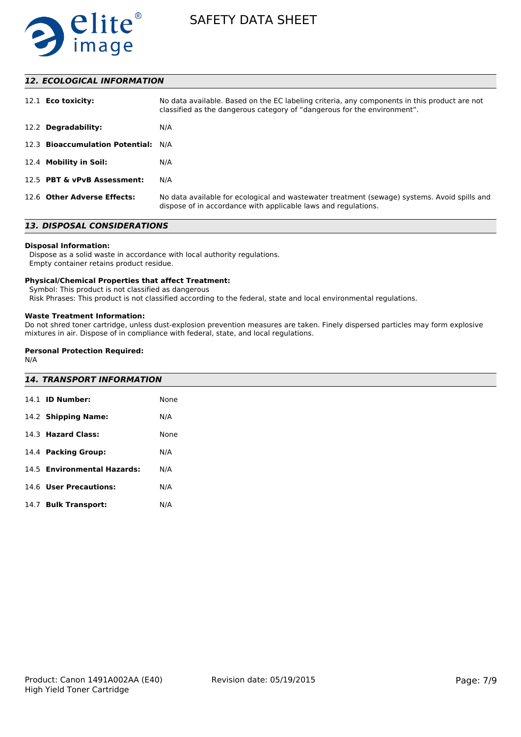

# *12. ECOLOGICAL INFORMATION*

| 12.1 <b>Eco toxicity:</b>       | No data available. Based on the EC labeling criteria, any components in this product are not<br>classified as the dangerous category of "dangerous for the environment". |
|---------------------------------|--------------------------------------------------------------------------------------------------------------------------------------------------------------------------|
| 12.2 Degradability:             | N/A                                                                                                                                                                      |
| 12.3 Bioaccumulation Potential: | N/A                                                                                                                                                                      |
| 12.4 Mobility in Soil:          | N/A                                                                                                                                                                      |
| 12.5 PBT & vPvB Assessment:     | N/A                                                                                                                                                                      |
| 12.6 Other Adverse Effects:     | No data available for ecological and wastewater treatment (sewage) systems. Avoid spills and<br>dispose of in accordance with applicable laws and regulations.           |

# *13. DISPOSAL CONSIDERATIONS*

# **Disposal Information:**

 Dispose as a solid waste in accordance with local authority regulations. Empty container retains product residue.

#### **Physical/Chemical Properties that affect Treatment:**

Symbol: This product is not classified as dangerous

Risk Phrases: This product is not classified according to the federal, state and local environmental regulations.

#### **Waste Treatment Information:**

Do not shred toner cartridge, unless dust-explosion prevention measures are taken. Finely dispersed particles may form explosive mixtures in air. Dispose of in compliance with federal, state, and local regulations.

## **Personal Protection Required:**

N/A

| <b>14. TRANSPORT INFORMATION</b> |      |  |  |
|----------------------------------|------|--|--|
| 14.1 <b>ID Number:</b>           | None |  |  |
| 14.2 Shipping Name:              | N/A  |  |  |
| 14.3 Hazard Class:               | None |  |  |
| 14.4 Packing Group:              | N/A  |  |  |
| 14.5 Environmental Hazards:      | N/A  |  |  |
| 14.6 User Precautions:           | N/A  |  |  |
| 14.7 Bulk Transport:             | N/A  |  |  |
|                                  |      |  |  |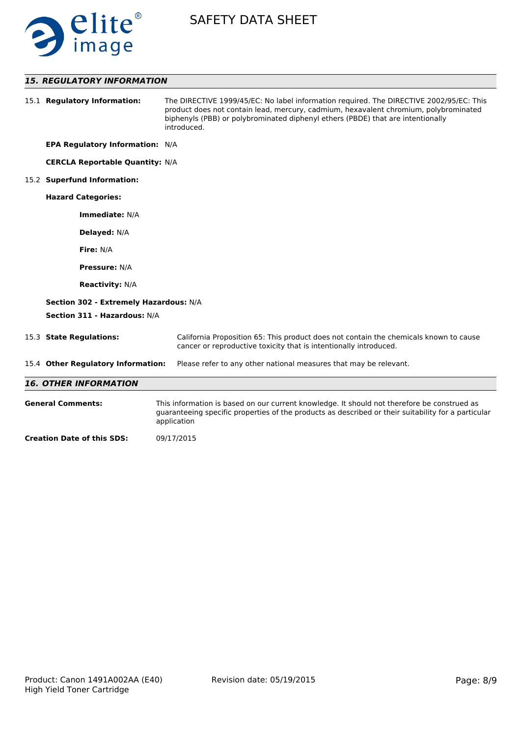

# *15. REGULATORY INFORMATION*

|                                   | 15.1 Regulatory Information:           | The DIRECTIVE 1999/45/EC: No label information required. The DIRECTIVE 2002/95/EC: This<br>product does not contain lead, mercury, cadmium, hexavalent chromium, polybrominated<br>biphenyls (PBB) or polybrominated diphenyl ethers (PBDE) that are intentionally<br>introduced. |
|-----------------------------------|----------------------------------------|-----------------------------------------------------------------------------------------------------------------------------------------------------------------------------------------------------------------------------------------------------------------------------------|
|                                   | <b>EPA Regulatory Information: N/A</b> |                                                                                                                                                                                                                                                                                   |
|                                   | <b>CERCLA Reportable Quantity: N/A</b> |                                                                                                                                                                                                                                                                                   |
|                                   | 15.2 Superfund Information:            |                                                                                                                                                                                                                                                                                   |
|                                   | <b>Hazard Categories:</b>              |                                                                                                                                                                                                                                                                                   |
|                                   | Immediate: N/A                         |                                                                                                                                                                                                                                                                                   |
|                                   | Delayed: N/A                           |                                                                                                                                                                                                                                                                                   |
|                                   | Fire: N/A                              |                                                                                                                                                                                                                                                                                   |
|                                   | <b>Pressure: N/A</b>                   |                                                                                                                                                                                                                                                                                   |
|                                   | <b>Reactivity: N/A</b>                 |                                                                                                                                                                                                                                                                                   |
|                                   | Section 302 - Extremely Hazardous: N/A |                                                                                                                                                                                                                                                                                   |
|                                   | Section 311 - Hazardous: N/A           |                                                                                                                                                                                                                                                                                   |
|                                   | 15.3 State Regulations:                | California Proposition 65: This product does not contain the chemicals known to cause<br>cancer or reproductive toxicity that is intentionally introduced.                                                                                                                        |
|                                   | 15.4 Other Regulatory Information:     | Please refer to any other national measures that may be relevant.                                                                                                                                                                                                                 |
|                                   | <b>16. OTHER INFORMATION</b>           |                                                                                                                                                                                                                                                                                   |
|                                   | <b>General Comments:</b>               | This information is based on our current knowledge. It should not therefore be construed as<br>guaranteeing specific properties of the products as described or their suitability for a particular<br>application                                                                 |
| <b>Creation Date of this SDS:</b> |                                        | 09/17/2015                                                                                                                                                                                                                                                                        |